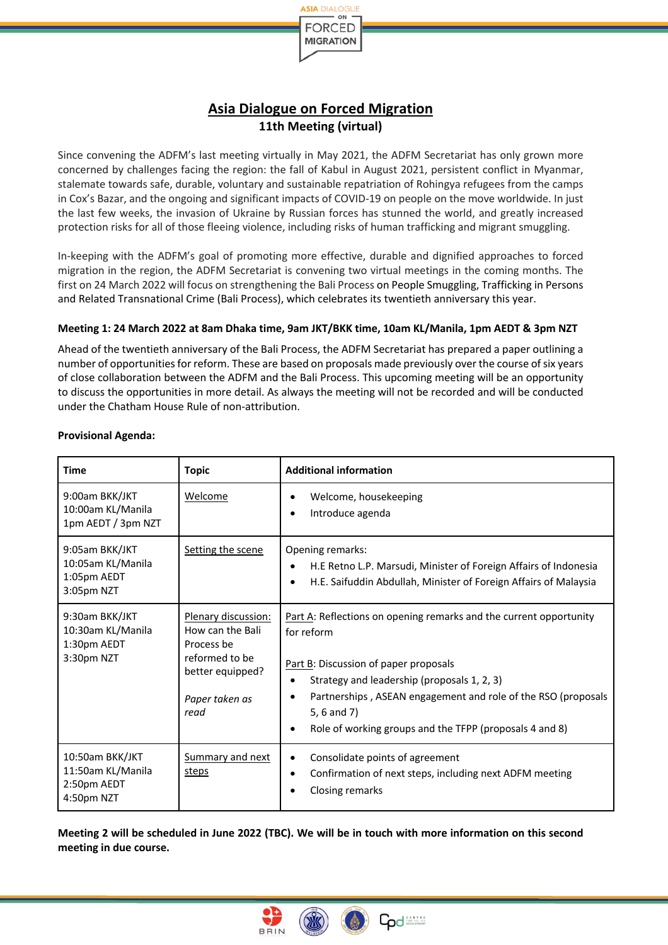

## **Asia Dialogue on Forced Migration 11th Meeting (virtual)**

Since convening the ADFM's last meeting virtually in May 2021, the ADFM Secretariat has only grown more concerned by challenges facing the region: the fall of Kabul in August 2021, persistent conflict in Myanmar, stalemate towards safe, durable, voluntary and sustainable repatriation of Rohingya refugees from the camps in Cox's Bazar, and the ongoing and significant impacts of COVID-19 on people on the move worldwide. In just the last few weeks, the invasion of Ukraine by Russian forces has stunned the world, and greatly increased protection risks for all of those fleeing violence, including risks of human trafficking and migrant smuggling.

In-keeping with the ADFM's goal of promoting more effective, durable and dignified approaches to forced migration in the region, the ADFM Secretariat is convening two virtual meetings in the coming months. The first on 24 March 2022 will focus on strengthening the Bali Process on People Smuggling, Trafficking in Persons and Related Transnational Crime (Bali Process), which celebrates its twentieth anniversary this year.

## **Meeting 1: 24 March 2022 at 8am Dhaka time, 9am JKT/BKK time, 10am KL/Manila, 1pm AEDT & 3pm NZT**

Ahead of the twentieth anniversary of the Bali Process, the ADFM Secretariat has prepared a paper outlining a number of opportunities for reform. These are based on proposals made previously over the course of six years of close collaboration between the ADFM and the Bali Process. This upcoming meeting will be an opportunity to discuss the opportunities in more detail. As always the meeting will not be recorded and will be conducted under the Chatham House Rule of non-attribution.

| <b>Time</b>                                                       | <b>Topic</b>                                                                                                          | <b>Additional information</b>                                                                                                                                                                                                                                                                                                                              |
|-------------------------------------------------------------------|-----------------------------------------------------------------------------------------------------------------------|------------------------------------------------------------------------------------------------------------------------------------------------------------------------------------------------------------------------------------------------------------------------------------------------------------------------------------------------------------|
| 9:00am BKK/JKT<br>10:00am KL/Manila<br>1pm AEDT / 3pm NZT         | Welcome                                                                                                               | Welcome, housekeeping<br>٠<br>Introduce agenda<br>٠                                                                                                                                                                                                                                                                                                        |
| 9:05am BKK/JKT<br>10:05am KL/Manila<br>1:05pm AEDT<br>3:05pm NZT  | Setting the scene                                                                                                     | Opening remarks:<br>H.E Retno L.P. Marsudi, Minister of Foreign Affairs of Indonesia<br>$\bullet$<br>H.E. Saifuddin Abdullah, Minister of Foreign Affairs of Malaysia<br>$\bullet$                                                                                                                                                                         |
| 9:30am BKK/JKT<br>10:30am KL/Manila<br>1:30pm AEDT<br>3:30pm NZT  | Plenary discussion:<br>How can the Bali<br>Process be<br>reformed to be<br>better equipped?<br>Paper taken as<br>read | Part A: Reflections on opening remarks and the current opportunity<br>for reform<br>Part B: Discussion of paper proposals<br>Strategy and leadership (proposals 1, 2, 3)<br>$\bullet$<br>Partnerships, ASEAN engagement and role of the RSO (proposals<br>$\bullet$<br>5, 6 and 7)<br>Role of working groups and the TFPP (proposals 4 and 8)<br>$\bullet$ |
| 10:50am BKK/JKT<br>11:50am KL/Manila<br>2:50pm AEDT<br>4:50pm NZT | Summary and next<br>steps                                                                                             | Consolidate points of agreement<br>٠<br>Confirmation of next steps, including next ADFM meeting<br>$\bullet$<br><b>Closing remarks</b><br>$\bullet$                                                                                                                                                                                                        |

## **Provisional Agenda:**

**Meeting 2 will be scheduled in June 2022 (TBC). We will be in touch with more information on this second meeting in due course.**



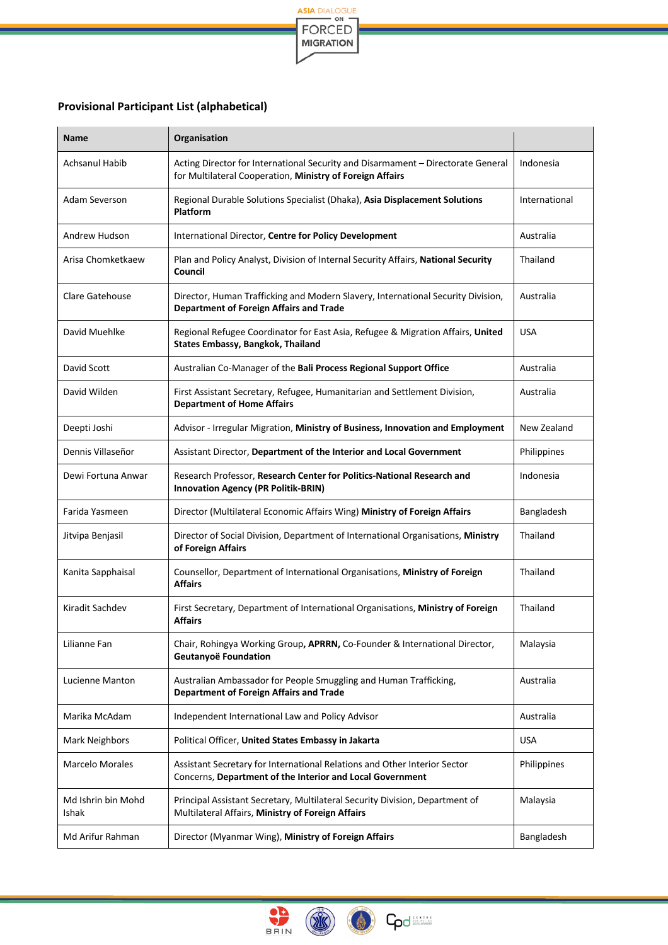

## **Provisional Participant List (alphabetical)**

| <b>Name</b>                 | Organisation                                                                                                                                  |               |
|-----------------------------|-----------------------------------------------------------------------------------------------------------------------------------------------|---------------|
| Achsanul Habib              | Acting Director for International Security and Disarmament - Directorate General<br>for Multilateral Cooperation, Ministry of Foreign Affairs | Indonesia     |
| Adam Severson               | Regional Durable Solutions Specialist (Dhaka), Asia Displacement Solutions<br><b>Platform</b>                                                 | International |
| Andrew Hudson               | International Director, Centre for Policy Development                                                                                         | Australia     |
| Arisa Chomketkaew           | Plan and Policy Analyst, Division of Internal Security Affairs, National Security<br>Council                                                  | Thailand      |
| Clare Gatehouse             | Director, Human Trafficking and Modern Slavery, International Security Division,<br><b>Department of Foreign Affairs and Trade</b>            | Australia     |
| David Muehlke               | Regional Refugee Coordinator for East Asia, Refugee & Migration Affairs, United<br><b>States Embassy, Bangkok, Thailand</b>                   | <b>USA</b>    |
| David Scott                 | Australian Co-Manager of the Bali Process Regional Support Office                                                                             | Australia     |
| David Wilden                | First Assistant Secretary, Refugee, Humanitarian and Settlement Division,<br><b>Department of Home Affairs</b>                                | Australia     |
| Deepti Joshi                | Advisor - Irregular Migration, Ministry of Business, Innovation and Employment                                                                | New Zealand   |
| Dennis Villaseñor           | Assistant Director, Department of the Interior and Local Government                                                                           | Philippines   |
| Dewi Fortuna Anwar          | Research Professor, Research Center for Politics-National Research and<br><b>Innovation Agency (PR Politik-BRIN)</b>                          | Indonesia     |
| Farida Yasmeen              | Director (Multilateral Economic Affairs Wing) Ministry of Foreign Affairs                                                                     | Bangladesh    |
| Jitvipa Benjasil            | Director of Social Division, Department of International Organisations, Ministry<br>of Foreign Affairs                                        | Thailand      |
| Kanita Sapphaisal           | Counsellor, Department of International Organisations, Ministry of Foreign<br><b>Affairs</b>                                                  | Thailand      |
| Kiradit Sachdev             | First Secretary, Department of International Organisations, Ministry of Foreign<br><b>Affairs</b>                                             | Thailand      |
| Lilianne Fan                | Chair, Rohingya Working Group, APRRN, Co-Founder & International Director,<br>Geutanyoë Foundation                                            | Malaysia      |
| Lucienne Manton             | Australian Ambassador for People Smuggling and Human Trafficking,<br><b>Department of Foreign Affairs and Trade</b>                           | Australia     |
| Marika McAdam               | Independent International Law and Policy Advisor                                                                                              | Australia     |
| Mark Neighbors              | Political Officer, United States Embassy in Jakarta                                                                                           | <b>USA</b>    |
| Marcelo Morales             | Assistant Secretary for International Relations and Other Interior Sector<br>Concerns, Department of the Interior and Local Government        | Philippines   |
| Md Ishrin bin Mohd<br>Ishak | Principal Assistant Secretary, Multilateral Security Division, Department of<br>Multilateral Affairs, Ministry of Foreign Affairs             | Malaysia      |
| Md Arifur Rahman            | Director (Myanmar Wing), Ministry of Foreign Affairs                                                                                          | Bangladesh    |